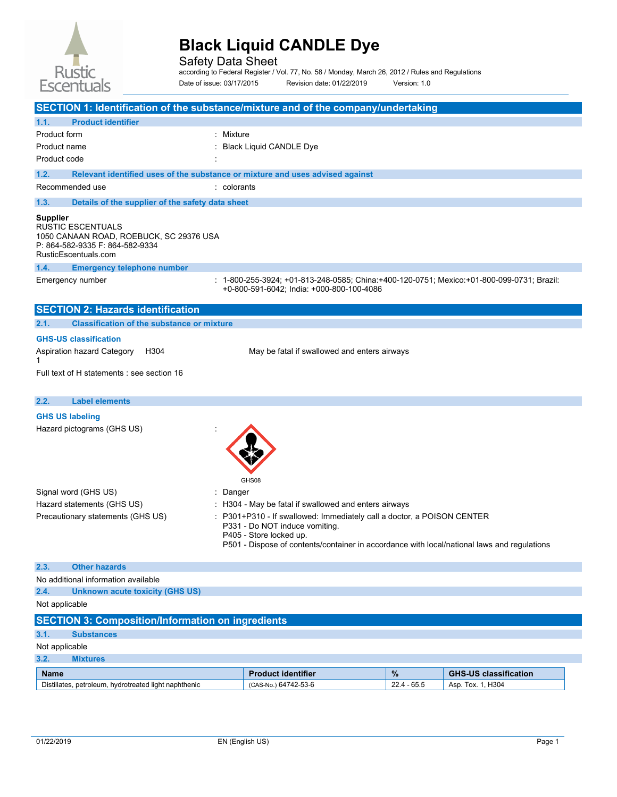

Safety Data Sheet according to Federal Register / Vol. 77, No. 58 / Monday, March 26, 2012 / Rules and Regulations

Date of issue: 03/17/2015 Revision date: 01/22/2019 Version: 1.0

| SECTION 1: Identification of the substance/mixture and of the company/undertaking                                                          |             |                                                                                                                                                                                                                                  |               |                              |
|--------------------------------------------------------------------------------------------------------------------------------------------|-------------|----------------------------------------------------------------------------------------------------------------------------------------------------------------------------------------------------------------------------------|---------------|------------------------------|
| 1.1.<br><b>Product identifier</b>                                                                                                          |             |                                                                                                                                                                                                                                  |               |                              |
| Product form                                                                                                                               | Mixture     |                                                                                                                                                                                                                                  |               |                              |
| Product name                                                                                                                               |             | <b>Black Liquid CANDLE Dye</b>                                                                                                                                                                                                   |               |                              |
| Product code                                                                                                                               |             |                                                                                                                                                                                                                                  |               |                              |
| Relevant identified uses of the substance or mixture and uses advised against<br>1.2.                                                      |             |                                                                                                                                                                                                                                  |               |                              |
| Recommended use                                                                                                                            | : colorants |                                                                                                                                                                                                                                  |               |                              |
| 1.3.<br>Details of the supplier of the safety data sheet                                                                                   |             |                                                                                                                                                                                                                                  |               |                              |
| <b>Supplier</b><br>RUSTIC ESCENTUALS<br>1050 CANAAN ROAD, ROEBUCK, SC 29376 USA<br>P: 864-582-9335 F: 864-582-9334<br>RusticEscentuals.com |             |                                                                                                                                                                                                                                  |               |                              |
| 1.4.<br><b>Emergency telephone number</b>                                                                                                  |             |                                                                                                                                                                                                                                  |               |                              |
| Emergency number                                                                                                                           |             | : 1-800-255-3924; +01-813-248-0585; China:+400-120-0751; Mexico:+01-800-099-0731; Brazil:<br>+0-800-591-6042; India: +000-800-100-4086                                                                                           |               |                              |
| <b>SECTION 2: Hazards identification</b>                                                                                                   |             |                                                                                                                                                                                                                                  |               |                              |
| 2.1.<br><b>Classification of the substance or mixture</b>                                                                                  |             |                                                                                                                                                                                                                                  |               |                              |
| <b>GHS-US classification</b>                                                                                                               |             |                                                                                                                                                                                                                                  |               |                              |
| Aspiration hazard Category<br>H304<br>1                                                                                                    |             | May be fatal if swallowed and enters airways                                                                                                                                                                                     |               |                              |
| Full text of H statements : see section 16                                                                                                 |             |                                                                                                                                                                                                                                  |               |                              |
|                                                                                                                                            |             |                                                                                                                                                                                                                                  |               |                              |
| <b>Label elements</b><br>2.2.                                                                                                              |             |                                                                                                                                                                                                                                  |               |                              |
| <b>GHS US labeling</b>                                                                                                                     |             |                                                                                                                                                                                                                                  |               |                              |
| Hazard pictograms (GHS US)                                                                                                                 |             | GHS08                                                                                                                                                                                                                            |               |                              |
| Signal word (GHS US)                                                                                                                       | Danger      |                                                                                                                                                                                                                                  |               |                              |
| Hazard statements (GHS US)                                                                                                                 |             | H304 - May be fatal if swallowed and enters airways                                                                                                                                                                              |               |                              |
| Precautionary statements (GHS US)                                                                                                          |             | P301+P310 - If swallowed: Immediately call a doctor, a POISON CENTER<br>P331 - Do NOT induce vomiting.<br>P405 - Store locked up.<br>P501 - Dispose of contents/container in accordance with local/national laws and regulations |               |                              |
| 2.3.<br><b>Other hazards</b>                                                                                                               |             |                                                                                                                                                                                                                                  |               |                              |
| No additional information available                                                                                                        |             |                                                                                                                                                                                                                                  |               |                              |
| 2.4.<br><b>Unknown acute toxicity (GHS US)</b>                                                                                             |             |                                                                                                                                                                                                                                  |               |                              |
| Not applicable                                                                                                                             |             |                                                                                                                                                                                                                                  |               |                              |
| <b>SECTION 3: Composition/Information on ingredients</b>                                                                                   |             |                                                                                                                                                                                                                                  |               |                              |
| 3.1.<br><b>Substances</b>                                                                                                                  |             |                                                                                                                                                                                                                                  |               |                              |
| Not applicable                                                                                                                             |             |                                                                                                                                                                                                                                  |               |                              |
| 3.2.<br><b>Mixtures</b>                                                                                                                    |             |                                                                                                                                                                                                                                  |               |                              |
| <b>Name</b>                                                                                                                                |             | <b>Product identifier</b>                                                                                                                                                                                                        | $\%$          | <b>GHS-US classification</b> |
| Distillates, petroleum, hydrotreated light naphthenic                                                                                      |             | (CAS-No.) 64742-53-6                                                                                                                                                                                                             | $22.4 - 65.5$ | Asp. Tox. 1, H304            |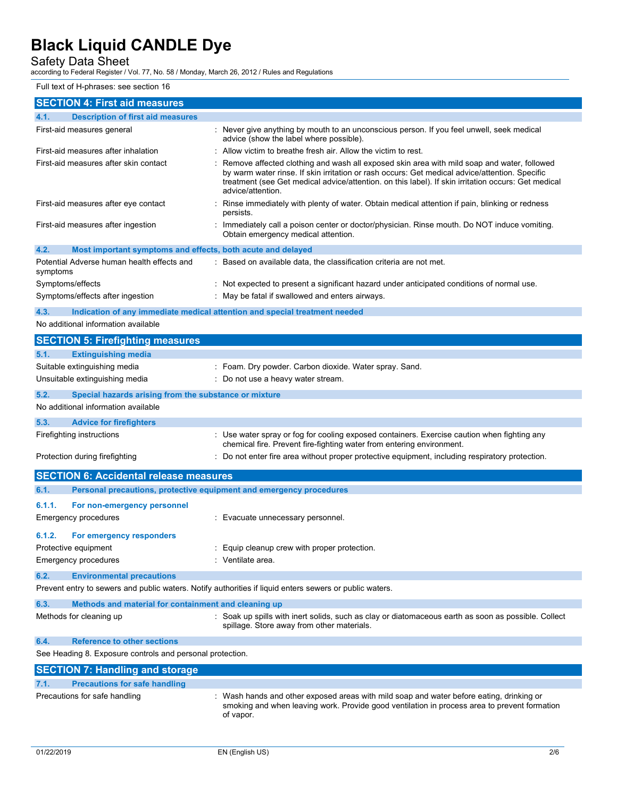Safety Data Sheet according to Federal Register / Vol. 77, No. 58 / Monday, March 26, 2012 / Rules and Regulations

#### Full text of H-phrases: see section 16

| <b>SECTION 4: First aid measures</b>                                                                                                                |                                                                                                                                                                                                                                                                                                                          |  |  |
|-----------------------------------------------------------------------------------------------------------------------------------------------------|--------------------------------------------------------------------------------------------------------------------------------------------------------------------------------------------------------------------------------------------------------------------------------------------------------------------------|--|--|
| <b>Description of first aid measures</b><br>4.1.                                                                                                    |                                                                                                                                                                                                                                                                                                                          |  |  |
| First-aid measures general                                                                                                                          | : Never give anything by mouth to an unconscious person. If you feel unwell, seek medical<br>advice (show the label where possible).                                                                                                                                                                                     |  |  |
| First-aid measures after inhalation                                                                                                                 | : Allow victim to breathe fresh air. Allow the victim to rest.                                                                                                                                                                                                                                                           |  |  |
| First-aid measures after skin contact                                                                                                               | Remove affected clothing and wash all exposed skin area with mild soap and water, followed<br>by warm water rinse. If skin irritation or rash occurs: Get medical advice/attention. Specific<br>treatment (see Get medical advice/attention. on this label). If skin irritation occurs: Get medical<br>advice/attention. |  |  |
| First-aid measures after eye contact                                                                                                                | : Rinse immediately with plenty of water. Obtain medical attention if pain, blinking or redness<br>persists.                                                                                                                                                                                                             |  |  |
| First-aid measures after ingestion                                                                                                                  | : Immediately call a poison center or doctor/physician. Rinse mouth. Do NOT induce vomiting.<br>Obtain emergency medical attention.                                                                                                                                                                                      |  |  |
| 4.2.<br>Most important symptoms and effects, both acute and delayed                                                                                 |                                                                                                                                                                                                                                                                                                                          |  |  |
| Potential Adverse human health effects and<br>symptoms                                                                                              | : Based on available data, the classification criteria are not met.                                                                                                                                                                                                                                                      |  |  |
| Symptoms/effects                                                                                                                                    | : Not expected to present a significant hazard under anticipated conditions of normal use.                                                                                                                                                                                                                               |  |  |
| Symptoms/effects after ingestion                                                                                                                    | : May be fatal if swallowed and enters airways.                                                                                                                                                                                                                                                                          |  |  |
| 4.3.<br>Indication of any immediate medical attention and special treatment needed                                                                  |                                                                                                                                                                                                                                                                                                                          |  |  |
| No additional information available                                                                                                                 |                                                                                                                                                                                                                                                                                                                          |  |  |
| <b>SECTION 5: Firefighting measures</b>                                                                                                             |                                                                                                                                                                                                                                                                                                                          |  |  |
| <b>Extinguishing media</b><br>5.1.                                                                                                                  |                                                                                                                                                                                                                                                                                                                          |  |  |
| Suitable extinguishing media                                                                                                                        | : Foam. Dry powder. Carbon dioxide. Water spray. Sand.                                                                                                                                                                                                                                                                   |  |  |
| Unsuitable extinguishing media                                                                                                                      | : Do not use a heavy water stream.                                                                                                                                                                                                                                                                                       |  |  |
| 5.2.<br>Special hazards arising from the substance or mixture                                                                                       |                                                                                                                                                                                                                                                                                                                          |  |  |
| No additional information available                                                                                                                 |                                                                                                                                                                                                                                                                                                                          |  |  |
| 5.3.<br><b>Advice for firefighters</b>                                                                                                              |                                                                                                                                                                                                                                                                                                                          |  |  |
| Firefighting instructions                                                                                                                           | : Use water spray or fog for cooling exposed containers. Exercise caution when fighting any<br>chemical fire. Prevent fire-fighting water from entering environment.                                                                                                                                                     |  |  |
| Protection during firefighting                                                                                                                      | : Do not enter fire area without proper protective equipment, including respiratory protection.                                                                                                                                                                                                                          |  |  |
| <b>SECTION 6: Accidental release measures</b>                                                                                                       |                                                                                                                                                                                                                                                                                                                          |  |  |
| 6.1.<br>Personal precautions, protective equipment and emergency procedures                                                                         |                                                                                                                                                                                                                                                                                                                          |  |  |
| 6.1.1.<br>For non-emergency personnel                                                                                                               |                                                                                                                                                                                                                                                                                                                          |  |  |
| <b>Emergency procedures</b>                                                                                                                         | : Evacuate unnecessary personnel.                                                                                                                                                                                                                                                                                        |  |  |
| 6.1.2.<br>For emergency responders                                                                                                                  |                                                                                                                                                                                                                                                                                                                          |  |  |
| Protective equipment                                                                                                                                | Equip cleanup crew with proper protection.                                                                                                                                                                                                                                                                               |  |  |
| <b>Emergency procedures</b>                                                                                                                         | : Ventilate area.                                                                                                                                                                                                                                                                                                        |  |  |
|                                                                                                                                                     |                                                                                                                                                                                                                                                                                                                          |  |  |
| 6.2.<br><b>Environmental precautions</b><br>Prevent entry to sewers and public waters. Notify authorities if liquid enters sewers or public waters. |                                                                                                                                                                                                                                                                                                                          |  |  |
|                                                                                                                                                     |                                                                                                                                                                                                                                                                                                                          |  |  |
| 6.3.<br>Methods and material for containment and cleaning up                                                                                        |                                                                                                                                                                                                                                                                                                                          |  |  |
| Methods for cleaning up                                                                                                                             | : Soak up spills with inert solids, such as clay or diatomaceous earth as soon as possible. Collect<br>spillage. Store away from other materials.                                                                                                                                                                        |  |  |
| <b>Reference to other sections</b><br>6.4.                                                                                                          |                                                                                                                                                                                                                                                                                                                          |  |  |
| See Heading 8. Exposure controls and personal protection.                                                                                           |                                                                                                                                                                                                                                                                                                                          |  |  |
| <b>SECTION 7: Handling and storage</b>                                                                                                              |                                                                                                                                                                                                                                                                                                                          |  |  |
| <b>Precautions for safe handling</b><br>7.1.                                                                                                        |                                                                                                                                                                                                                                                                                                                          |  |  |
| Precautions for safe handling                                                                                                                       | Wash hands and other exposed areas with mild soap and water before eating, drinking or<br>smoking and when leaving work. Provide good ventilation in process area to prevent formation<br>of vapor.                                                                                                                      |  |  |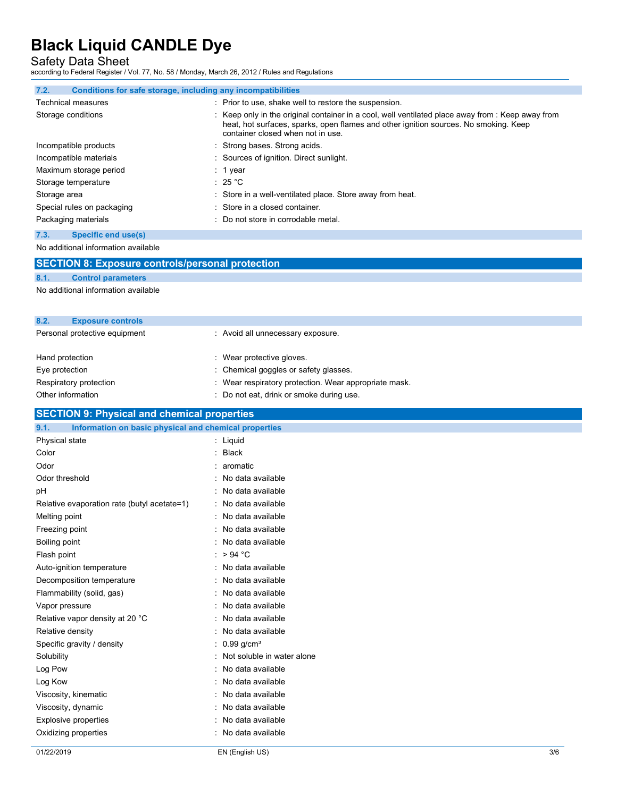Safety Data Sheet according to Federal Register / Vol. 77, No. 58 / Monday, March 26, 2012 / Rules and Regulations

| Conditions for safe storage, including any incompatibilities<br>7.2. |                                                                                                                                                                                                                                |
|----------------------------------------------------------------------|--------------------------------------------------------------------------------------------------------------------------------------------------------------------------------------------------------------------------------|
| <b>Technical measures</b>                                            | : Prior to use, shake well to restore the suspension.                                                                                                                                                                          |
| Storage conditions                                                   | : Keep only in the original container in a cool, well ventilated place away from : Keep away from<br>heat, hot surfaces, sparks, open flames and other ignition sources. No smoking. Keep<br>container closed when not in use. |
| Incompatible products                                                | : Strong bases. Strong acids.                                                                                                                                                                                                  |
| Incompatible materials                                               | : Sources of ignition. Direct sunlight.                                                                                                                                                                                        |
| Maximum storage period                                               | : 1 year                                                                                                                                                                                                                       |
| Storage temperature                                                  | : 25 °C                                                                                                                                                                                                                        |
| Storage area                                                         | : Store in a well-ventilated place. Store away from heat.                                                                                                                                                                      |
| Special rules on packaging                                           | : Store in a closed container.                                                                                                                                                                                                 |
| Packaging materials                                                  | : Do not store in corrodable metal.                                                                                                                                                                                            |

#### **7.3. Specific end use(s)**

No additional information available

|                 | <b>SECTION 8: Exposure controls/personal protection</b> |                                   |
|-----------------|---------------------------------------------------------|-----------------------------------|
| 8.1.            | <b>Control parameters</b>                               |                                   |
|                 | No additional information available                     |                                   |
| 8.2.            | <b>Exposure controls</b>                                |                                   |
|                 | Personal protective equipment                           | : Avoid all unnecessary exposure. |
| Hand protection |                                                         | : Wear protective gloves.         |
|                 |                                                         |                                   |

| Eye protection         | : Chemical goggles or safety glasses.                 |
|------------------------|-------------------------------------------------------|
| Respiratory protection | : Wear respiratory protection. Wear appropriate mask. |

Other information  $\qquad \qquad :$  Do not eat, drink or smoke during use.

### **SECTION 9: Physical and chemical properties**

| 9.1.<br>Information on basic physical and chemical properties |                              |
|---------------------------------------------------------------|------------------------------|
| Physical state                                                | : Liquid                     |
| Color                                                         | : Black                      |
| Odor                                                          | $: a$ romatic                |
| Odor threshold                                                | : No data available          |
| pH                                                            | : No data available          |
| Relative evaporation rate (butyl acetate=1)                   | : No data available          |
| Melting point                                                 | : No data available          |
| Freezing point                                                | : No data available          |
| Boiling point                                                 | : No data available          |
| Flash point                                                   | : > 94 °C                    |
| Auto-ignition temperature                                     | : No data available          |
| Decomposition temperature                                     | : No data available          |
| Flammability (solid, gas)                                     | : No data available          |
| Vapor pressure                                                | : No data available          |
| Relative vapor density at 20 °C                               | : No data available          |
| Relative density                                              | : No data available          |
| Specific gravity / density                                    | : $0.99$ g/cm <sup>3</sup>   |
| Solubility                                                    | : Not soluble in water alone |
| Log Pow                                                       | : No data available          |
| Log Kow                                                       | : No data available          |
| Viscosity, kinematic                                          | : No data available          |
| Viscosity, dynamic                                            | : No data available          |
| Explosive properties                                          | : No data available          |
| Oxidizing properties                                          | : No data available          |
|                                                               |                              |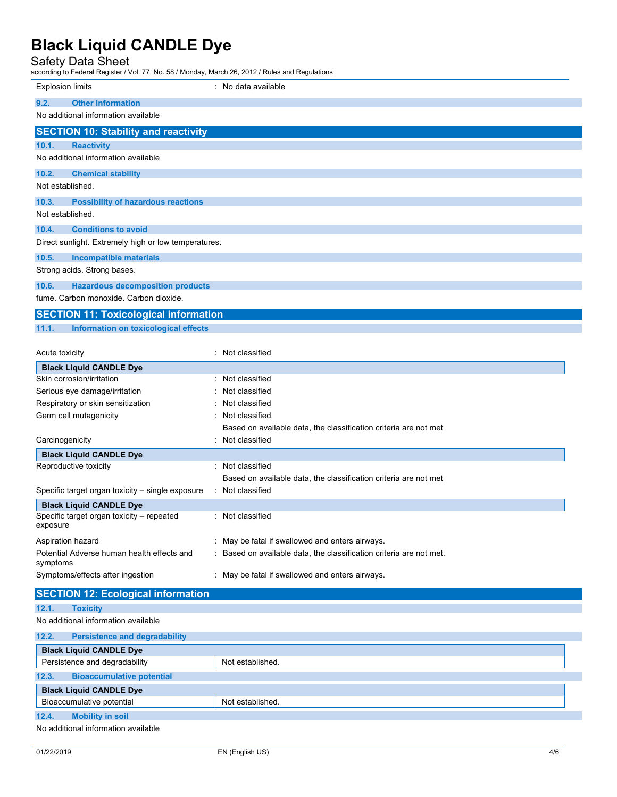### Safety Data Sheet

| according to Federal Register / Vol. 77, No. 58 / Monday, March 26, 2012 / Rules and Regulations |                                                                     |
|--------------------------------------------------------------------------------------------------|---------------------------------------------------------------------|
| <b>Explosion limits</b>                                                                          | : No data available                                                 |
| <b>Other information</b><br>9.2.                                                                 |                                                                     |
| No additional information available                                                              |                                                                     |
| <b>SECTION 10: Stability and reactivity</b>                                                      |                                                                     |
| 10.1.<br><b>Reactivity</b>                                                                       |                                                                     |
| No additional information available                                                              |                                                                     |
| 10.2.<br><b>Chemical stability</b>                                                               |                                                                     |
| Not established.                                                                                 |                                                                     |
| 10.3.<br><b>Possibility of hazardous reactions</b>                                               |                                                                     |
| Not established.                                                                                 |                                                                     |
| <b>Conditions to avoid</b><br>10.4.                                                              |                                                                     |
| Direct sunlight. Extremely high or low temperatures.                                             |                                                                     |
| 10.5.<br>Incompatible materials                                                                  |                                                                     |
| Strong acids. Strong bases.                                                                      |                                                                     |
| 10.6.<br><b>Hazardous decomposition products</b>                                                 |                                                                     |
| fume. Carbon monoxide. Carbon dioxide.                                                           |                                                                     |
| <b>SECTION 11: Toxicological information</b>                                                     |                                                                     |
| 11.1.<br>Information on toxicological effects                                                    |                                                                     |
|                                                                                                  |                                                                     |
| Acute toxicity                                                                                   | : Not classified                                                    |
| <b>Black Liquid CANDLE Dye</b>                                                                   |                                                                     |
| Skin corrosion/irritation                                                                        | : Not classified                                                    |
| Serious eye damage/irritation                                                                    | Not classified                                                      |
| Respiratory or skin sensitization                                                                | Not classified                                                      |
| Germ cell mutagenicity                                                                           | Not classified                                                      |
|                                                                                                  | Based on available data, the classification criteria are not met    |
| Carcinogenicity                                                                                  | Not classified                                                      |
| <b>Black Liquid CANDLE Dye</b>                                                                   |                                                                     |
| Reproductive toxicity                                                                            | : Not classified                                                    |
|                                                                                                  | Based on available data, the classification criteria are not met    |
| Specific target organ toxicity – single exposure                                                 | Not classified                                                      |
| <b>Black Liquid CANDLE Dye</b>                                                                   |                                                                     |
| Specific target organ toxicity - repeated<br>exposure                                            | : Not classified                                                    |
| Aspiration hazard                                                                                | : May be fatal if swallowed and enters airways.                     |
| Potential Adverse human health effects and                                                       | : Based on available data, the classification criteria are not met. |
| symptoms                                                                                         |                                                                     |
| Symptoms/effects after ingestion                                                                 | : May be fatal if swallowed and enters airways.                     |
| <b>SECTION 12: Ecological information</b>                                                        |                                                                     |
| 12.1.<br><b>Toxicity</b>                                                                         |                                                                     |
| No additional information available                                                              |                                                                     |
| 12.2.<br><b>Persistence and degradability</b>                                                    |                                                                     |
| <b>Black Liquid CANDLE Dye</b>                                                                   |                                                                     |
| Persistence and degradability                                                                    | Not established.                                                    |
| <b>Bioaccumulative potential</b><br>12.3.                                                        |                                                                     |
| <b>Black Liquid CANDLE Dye</b>                                                                   |                                                                     |
| Bioaccumulative potential                                                                        | Not established.                                                    |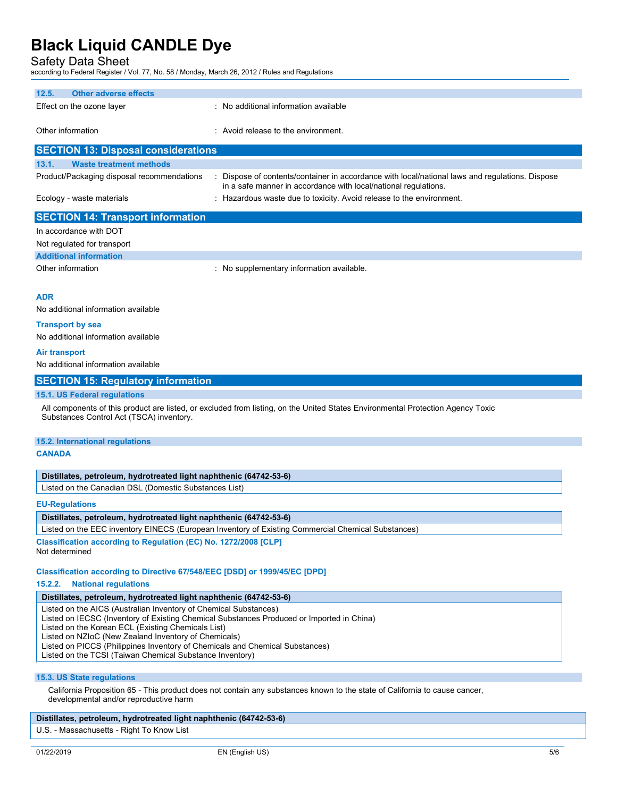Safety Data Sheet according to Federal Register / Vol. 77, No. 58 / Monday, March 26, 2012 / Rules and Regulations

| 12.5.<br><b>Other adverse effects</b>                                                                                                                         |                                                                                                                                                                  |  |  |  |
|---------------------------------------------------------------------------------------------------------------------------------------------------------------|------------------------------------------------------------------------------------------------------------------------------------------------------------------|--|--|--|
| Effect on the ozone layer                                                                                                                                     | : No additional information available                                                                                                                            |  |  |  |
|                                                                                                                                                               |                                                                                                                                                                  |  |  |  |
| Other information                                                                                                                                             | : Avoid release to the environment.                                                                                                                              |  |  |  |
| <b>SECTION 13: Disposal considerations</b>                                                                                                                    |                                                                                                                                                                  |  |  |  |
|                                                                                                                                                               |                                                                                                                                                                  |  |  |  |
| 13.1.<br><b>Waste treatment methods</b>                                                                                                                       |                                                                                                                                                                  |  |  |  |
| Product/Packaging disposal recommendations                                                                                                                    | Dispose of contents/container in accordance with local/national laws and regulations. Dispose<br>in a safe manner in accordance with local/national regulations. |  |  |  |
| Ecology - waste materials                                                                                                                                     | : Hazardous waste due to toxicity. Avoid release to the environment.                                                                                             |  |  |  |
|                                                                                                                                                               |                                                                                                                                                                  |  |  |  |
| <b>SECTION 14: Transport information</b>                                                                                                                      |                                                                                                                                                                  |  |  |  |
| In accordance with DOT                                                                                                                                        |                                                                                                                                                                  |  |  |  |
| Not regulated for transport                                                                                                                                   |                                                                                                                                                                  |  |  |  |
| <b>Additional information</b>                                                                                                                                 |                                                                                                                                                                  |  |  |  |
| Other information                                                                                                                                             | : No supplementary information available.                                                                                                                        |  |  |  |
|                                                                                                                                                               |                                                                                                                                                                  |  |  |  |
| <b>ADR</b>                                                                                                                                                    |                                                                                                                                                                  |  |  |  |
| No additional information available                                                                                                                           |                                                                                                                                                                  |  |  |  |
|                                                                                                                                                               |                                                                                                                                                                  |  |  |  |
| <b>Transport by sea</b>                                                                                                                                       |                                                                                                                                                                  |  |  |  |
| No additional information available                                                                                                                           |                                                                                                                                                                  |  |  |  |
| Air transport                                                                                                                                                 |                                                                                                                                                                  |  |  |  |
| No additional information available                                                                                                                           |                                                                                                                                                                  |  |  |  |
| <b>SECTION 15: Regulatory information</b>                                                                                                                     |                                                                                                                                                                  |  |  |  |
| <b>15.1. US Federal regulations</b>                                                                                                                           |                                                                                                                                                                  |  |  |  |
|                                                                                                                                                               | All components of this product are listed, or excluded from listing, on the United States Environmental Protection Agency Toxic                                  |  |  |  |
| Substances Control Act (TSCA) inventory.                                                                                                                      |                                                                                                                                                                  |  |  |  |
|                                                                                                                                                               |                                                                                                                                                                  |  |  |  |
| 15.2. International regulations                                                                                                                               |                                                                                                                                                                  |  |  |  |
| <b>CANADA</b>                                                                                                                                                 |                                                                                                                                                                  |  |  |  |
|                                                                                                                                                               |                                                                                                                                                                  |  |  |  |
| Distillates, petroleum, hydrotreated light naphthenic (64742-53-6)                                                                                            |                                                                                                                                                                  |  |  |  |
| Listed on the Canadian DSL (Domestic Substances List)                                                                                                         |                                                                                                                                                                  |  |  |  |
| <b>EU-Regulations</b>                                                                                                                                         |                                                                                                                                                                  |  |  |  |
| Distillates, petroleum, hydrotreated light naphthenic (64742-53-6)                                                                                            |                                                                                                                                                                  |  |  |  |
| Listed on the EEC inventory EINECS (European Inventory of Existing Commercial Chemical Substances)                                                            |                                                                                                                                                                  |  |  |  |
| Classification according to Regulation (EC) No. 1272/2008 [CLP]                                                                                               |                                                                                                                                                                  |  |  |  |
| Not determined                                                                                                                                                |                                                                                                                                                                  |  |  |  |
|                                                                                                                                                               |                                                                                                                                                                  |  |  |  |
| Classification according to Directive 67/548/EEC [DSD] or 1999/45/EC [DPD]                                                                                    |                                                                                                                                                                  |  |  |  |
| 15.2.2.<br><b>National regulations</b>                                                                                                                        |                                                                                                                                                                  |  |  |  |
| Distillates, petroleum, hydrotreated light naphthenic (64742-53-6)                                                                                            |                                                                                                                                                                  |  |  |  |
| Listed on the AICS (Australian Inventory of Chemical Substances)<br>Listed on IECSC (Inventory of Existing Chemical Substances Produced or Imported in China) |                                                                                                                                                                  |  |  |  |
| Listed on the Korean ECL (Existing Chemicals List)                                                                                                            |                                                                                                                                                                  |  |  |  |
| Listed on NZIoC (New Zealand Inventory of Chemicals)<br>Listed on PICCS (Philippines Inventory of Chemicals and Chemical Substances)                          |                                                                                                                                                                  |  |  |  |
| Listed on the TCSI (Taiwan Chemical Substance Inventory)                                                                                                      |                                                                                                                                                                  |  |  |  |
|                                                                                                                                                               |                                                                                                                                                                  |  |  |  |
| 15.3. US State regulations                                                                                                                                    |                                                                                                                                                                  |  |  |  |
| developmental and/or reproductive harm                                                                                                                        | California Proposition 65 - This product does not contain any substances known to the state of California to cause cancer,                                       |  |  |  |

#### **Distillates, petroleum, hydrotreated light naphthenic (64742-53-6)**

U.S. - Massachusetts - Right To Know List